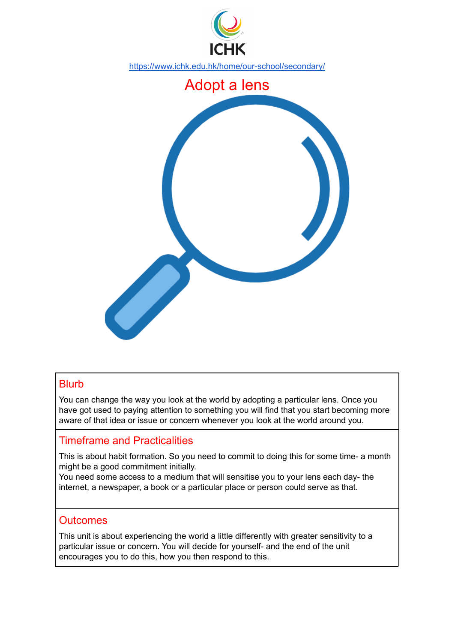

## **Blurb**

You can change the way you look at the world by adopting a particular lens. Once you have got used to paying attention to something you will find that you start becoming more aware of that idea or issue or concern whenever you look at the world around you.

## Timeframe and Practicalities

This is about habit formation. So you need to commit to doing this for some time- a month might be a good commitment initially.

You need some access to a medium that will sensitise you to your lens each day- the internet, a newspaper, a book or a particular place or person could serve as that.

#### **Outcomes**

This unit is about experiencing the world a little differently with greater sensitivity to a particular issue or concern. You will decide for yourself- and the end of the unit encourages you to do this, how you then respond to this.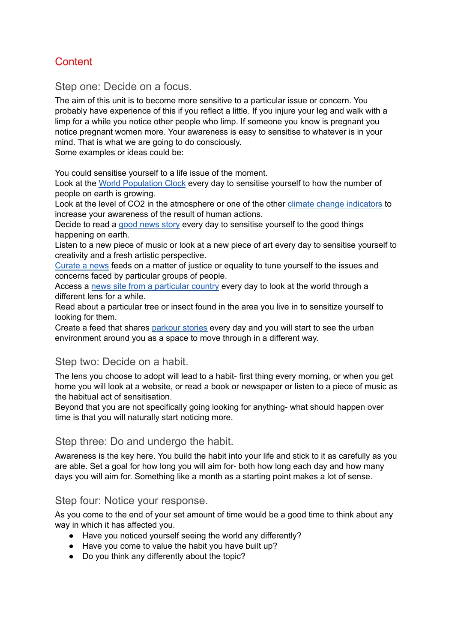# **Content**

Step one: Decide on a focus.

The aim of this unit is to become more sensitive to a particular issue or concern. You probably have experience of this if you reflect a little. If you injure your leg and walk with a limp for a while you notice other people who limp. If someone you know is pregnant you notice pregnant women more. Your awareness is easy to sensitise to whatever is in your mind. That is what we are going to do consciously.

Some examples or ideas could be:

You could sensitise yourself to a life issue of the moment.

Look at the World [Population](https://www.worldometers.info/world-population/) Clock every day to sensitise yourself to how the number of people on earth is growing.

Look at the level of CO2 in the atmosphere or one of the other climate change [indicators](https://climate.nasa.gov) to increase your awareness of the result of human actions.

Decide to read a good [news](http://happyplanetindex.org/case-studies) story every day to sensitise yourself to the good things happening on earth.

Listen to a new piece of music or look at a new piece of art every day to sensitise yourself to creativity and a fresh artistic perspective.

[Curate](https://www.lifewire.com/best-news-aggregators-4584410) a news feeds on a matter of justice or equality to tune yourself to the issues and concerns faced by particular groups of people.

Access a news site from a [particular](https://www.bbc.com/news/world) country every day to look at the world through a different lens for a while.

Read about a particular tree or insect found in the area you live in to sensitize yourself to looking for them.

Create a feed that shares [parkour](https://parkour.com/the-8-parkour-story-of-the-decade-the-rise-of-flow/) stories every day and you will start to see the urban environment around you as a space to move through in a different way.

## Step two: Decide on a habit.

The lens you choose to adopt will lead to a habit- first thing every morning, or when you get home you will look at a website, or read a book or newspaper or listen to a piece of music as the habitual act of sensitisation.

Beyond that you are not specifically going looking for anything- what should happen over time is that you will naturally start noticing more.

#### Step three: Do and undergo the habit.

Awareness is the key here. You build the habit into your life and stick to it as carefully as you are able. Set a goal for how long you will aim for- both how long each day and how many days you will aim for. Something like a month as a starting point makes a lot of sense.

#### Step four: Notice your response.

As you come to the end of your set amount of time would be a good time to think about any way in which it has affected you.

- Have you noticed yourself seeing the world any differently?
- Have you come to value the habit you have built up?
- Do you think any differently about the topic?